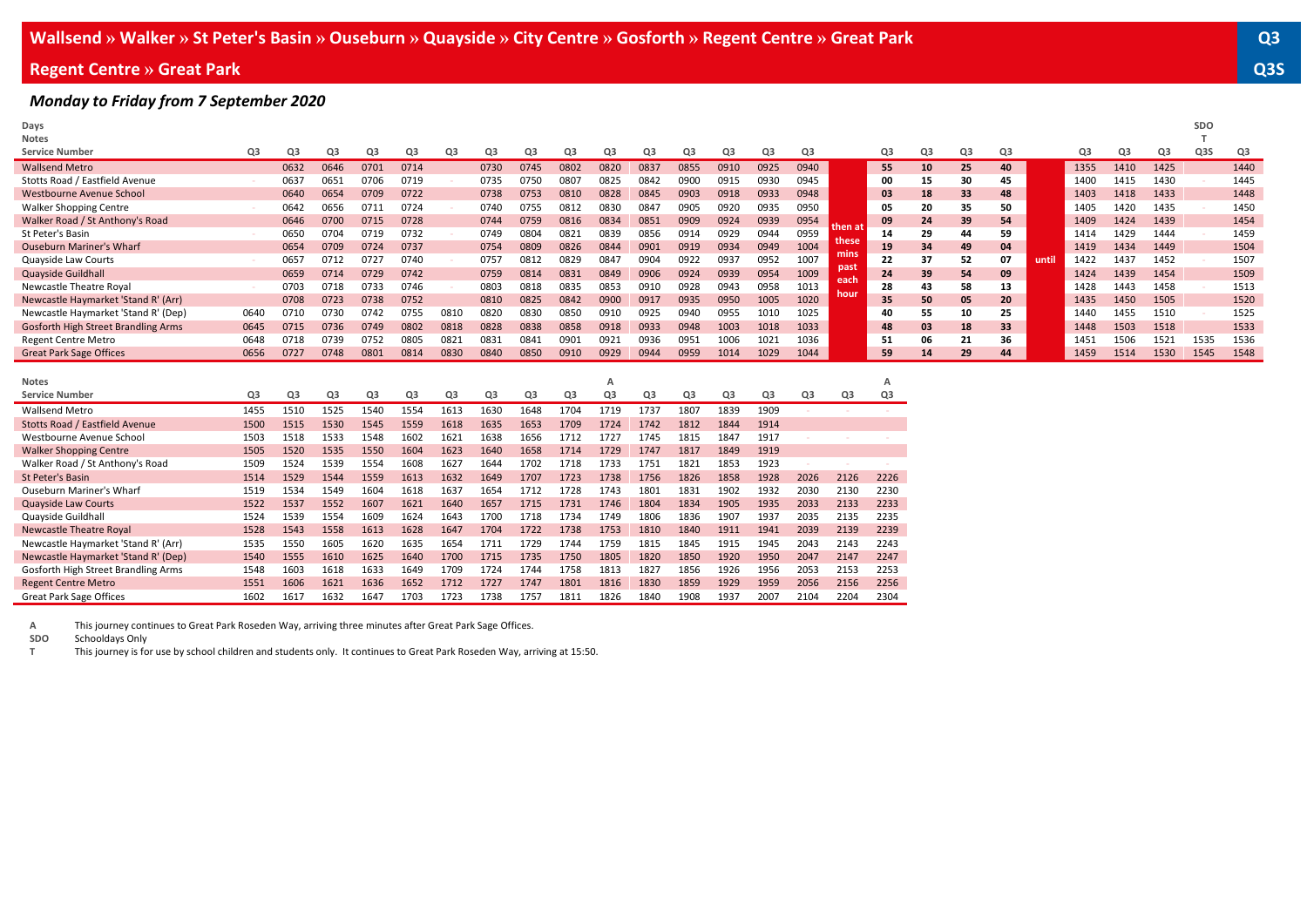#### **Regent Centre » Great Park Q3S**

#### *Monday to Friday from 7 September 2020*

| Days                                |      |                |                |                |                |                |      |                |                |      |                |      |                |      |      |               |                |    |    |    |       |      |      |      | <b>SDO</b> |      |
|-------------------------------------|------|----------------|----------------|----------------|----------------|----------------|------|----------------|----------------|------|----------------|------|----------------|------|------|---------------|----------------|----|----|----|-------|------|------|------|------------|------|
| <b>Notes</b>                        |      |                |                |                |                |                |      |                |                |      |                |      |                |      |      |               |                |    |    |    |       |      |      |      |            |      |
| <b>Service Number</b>               | Q3   | Q3             | Q3             | Q3             | Q3             | Q3             | Q3   | Q3             | Q3             | Q3   | Q3             | Q3   | Q3             | Q3   | Q3   |               | Q3             | Q3 | Q3 | Q3 |       | Q3   | Q3   | Q3   | Q3S        | Q3   |
| <b>Wallsend Metro</b>               |      | 0632           | 0646           | 0701           | 0714           |                | 0730 | 0745           | 0802           | 0820 | 0837           | 0855 | 0910           | 0925 | 0940 |               | 55             | 10 | 25 | 40 |       | 1355 | 1410 | 1425 |            | 1440 |
| Stotts Road / Eastfield Avenue      |      | 0637           | 0651           | 0706           | 0719           |                | 0735 | 0750           | 0807           | 0825 | 0842           | 0900 | 0915           | 0930 | 0945 |               | 00             | 15 | 30 | 45 |       | 1400 | 1415 | 1430 |            | 1445 |
| Westbourne Avenue School            |      | 0640           | 0654           | 0709           | 0722           |                | 0738 | 0753           | 0810           | 0828 | 0845           | 0903 | 0918           | 0933 | 0948 |               | 03             | 18 | 33 | 48 |       | 1403 | 1418 | 1433 |            | 1448 |
| <b>Walker Shopping Centre</b>       |      | 0642           | 0656           | 0711           | 0724           |                | 0740 | 0755           | 0812           | 0830 | 0847           | 0905 | 0920           | 0935 | 0950 |               | 05             | 20 | 35 | 50 |       | 1405 | 1420 | 1435 |            | 1450 |
| Walker Road / St Anthony's Road     |      | 0646           | 0700           | 0715           | 0728           |                | 0744 | 0759           | 0816           | 0834 | 0851           | 0909 | 0924           | 0939 | 0954 |               | 09             | 24 | 39 | 54 |       | 1409 | 1424 | 1439 |            | 1454 |
| St Peter's Basin                    |      | 0650           | 0704           | 0719           | 0732           |                | 0749 | 0804           | 0821           | 0839 | 0856           | 0914 | 0929           | 0944 | 0959 | then at       | 14             | 29 | 44 | 59 |       | 1414 | 1429 | 1444 |            | 1459 |
| <b>Ouseburn Mariner's Wharf</b>     |      | 0654           | 0709           | 0724           | 0737           |                | 0754 | 0809           | 0826           | 0844 | 0901           | 0919 | 0934           | 0949 | 1004 | these<br>mins | 19             | 34 | 49 | 04 |       | 1419 | 1434 | 1449 |            | 1504 |
| Quayside Law Courts                 |      | 0657           | 0712           | 0727           | 0740           |                | 0757 | 081            | 0829           | 0847 | 0904           | 0922 | 0937           | 0952 | 1007 |               | 22             | 37 | 52 | 07 | until | 1422 | 1437 | 1452 |            | 1507 |
| Quayside Guildhall                  |      | 0659           | 0714           | 0729           | 0742           |                | 0759 | 081            | 0831           | 0849 | 0906           | 0924 | 0939           | 0954 | 1009 | past<br>each  | 24             | 39 | 54 | 09 |       | 1424 | 1439 | 1454 |            | 1509 |
| Newcastle Theatre Royal             |      | 0703           | 0718           | 0733           | 0746           |                | 0803 | 0818           | 0835           | 0853 | 0910           | 0928 | 0943           | 0958 | 1013 | hour          | 28             | 43 | 58 | 13 |       | 1428 | 1443 | 1458 |            | 1513 |
| Newcastle Haymarket 'Stand R' (Arr) |      | 0708           | 0723           | 0738           | 0752           |                | 0810 | 0825           | 0842           | 0900 | 0917           | 0935 | 0950           | 1005 | 1020 |               | 35             | 50 | 05 | 20 |       | 1435 | 1450 | 1505 |            | 1520 |
| Newcastle Haymarket 'Stand R' (Dep) | 0640 | 0710           | 0730           | 0742           | 0755           | 0810           | 0820 | 0830           | 0850           | 0910 | 0925           | 0940 | 0955           | 1010 | 1025 |               | 40             | 55 | 10 | 25 |       | 1440 | 1455 | 1510 |            | 1525 |
| Gosforth High Street Brandling Arms | 0645 | 0715           | 0736           | 0749           | 0802           | 0818           | 0828 | 0838           | 0858           | 0918 | 0933           | 0948 | 1003           | 1018 | 1033 |               | 48             | 03 | 18 | 33 |       | 1448 | 1503 | 1518 |            | 1533 |
| <b>Regent Centre Metro</b>          | 0648 | 0718           | 0739           | 0752           | 0805           | 0821           | 0831 | 0841           | 0901           | 0921 | 0936           | 0951 | 1006           | 1021 | 1036 |               | 51             | 06 | 21 | 36 |       | 1451 | 1506 | 1521 | 1535       | 1536 |
| <b>Great Park Sage Offices</b>      | 0656 | 0727           | 0748           | 0801           | 0814           | 0830           | 0840 | 0850           | 0910           | 0929 | 0944           | 0959 | 1014           | 1029 | 1044 |               | 59             | 14 | 29 | 44 |       | 1459 | 1514 | 1530 | 1545       | 1548 |
|                                     |      |                |                |                |                |                |      |                |                |      |                |      |                |      |      |               |                |    |    |    |       |      |      |      |            |      |
| <b>Notes</b>                        |      |                |                |                |                |                |      |                |                |      |                |      |                |      |      |               | A              |    |    |    |       |      |      |      |            |      |
| <b>Service Number</b>               | Q3   | Q <sub>3</sub> | Q <sub>3</sub> | Q <sub>3</sub> | Q <sub>3</sub> | Q <sub>3</sub> | Q3   | Q <sub>3</sub> | Q <sub>3</sub> | Q3   | Q <sub>3</sub> | Q3   | Q <sub>3</sub> | Q3   | Q3   | Q3            | Q <sub>3</sub> |    |    |    |       |      |      |      |            |      |
| <b>Wallsend Metro</b>               | 1455 | 1510           | 1525           | 1540           | 1554           | 1613           | 1630 | 1648           | 1704           | 1719 | 1737           | 1807 | 1839           | 1909 |      |               |                |    |    |    |       |      |      |      |            |      |
| Stotts Road / Eastfield Avenue      | 1500 | 1515           | 1530           | 1545           | 1559           | 1618           | 1635 | 1653           | 1709           | 1724 | 1742           | 1812 | 1844           | 1914 |      |               |                |    |    |    |       |      |      |      |            |      |
| Westbourne Avenue School            | 1503 | 1518           | 1533           | 1548           | 1602           | 162            | 1638 | 1656           | 1712           | 1727 | 1745           | 1815 | 1847           | 1917 |      |               |                |    |    |    |       |      |      |      |            |      |
| <b>Walker Shopping Centre</b>       | 1505 | 1520           | 1535           | 1550           | 1604           | 1623           | 1640 | 1658           | 1714           | 1729 | 1747           | 1817 | 1849           | 1919 |      |               |                |    |    |    |       |      |      |      |            |      |
|                                     |      |                |                |                |                |                |      |                |                |      |                |      |                |      |      |               |                |    |    |    |       |      |      |      |            |      |

**A** This journey continues to Great Park Roseden Way, arriving three minutes after Great Park Sage Offices.

**SDO** Schooldays Only<br> **T** This journey is fo

**T** This journey is for use by school children and students only. It continues to Great Park Roseden Way, arriving at 15:50.

Walker Road / St Anthony's Road 1509 1524 1539 1554 1608 1627 1644 1702 1718 1733 1751 1821 1853 1923 **- - -**

St Peter's Basin 1514 1529 1544 1559 1613 1632 1649 1707 1723 1738 1756 1826 1858 1928 2026 2126 2226 Ouseburn Mariner's Wharf 1519 1534 1549 1604 1618 1637 1654 1712 1728 1743 1801 1831 1902 1932 2030 2130 2230 Quayside Law Courts 1522 1537 1552 1607 1621 1640 1657 1715 1731 1746 1804 1834 1905 1935 2033 2133 2233 Quayside Guildhall 1524 1539 1554 1609 1624 1643 1700 1718 1734 1749 1806 1836 1907 1937 2035 2135 2235 Newcastle Theatre Royal 1528 1543 1558 1613 1628 1647 1704 1722 1738 1753 1810 1840 1911 1941 2039 2139 2239 Newcastle Haymarket 'Stand R' (Arr) 1535 1550 1605 1620 1635 1654 1711 1729 1744 1759 1815 1845 1915 1945 2043 2143 2243 Newcastle Haymarket 'Stand R' (Dep) 1540 1555 1610 1625 1640 1700 1715 1735 1750 1805 1820 1850 1920 1950 2047 2147 2247 Gosforth High Street Brandling Arms 1548 1603 1618 1633 1649 1709 1724 1744 1758 1813 1827 1856 1926 1956 2053 2153 2253 Regent Centre Metro 1551 1606 1621 1636 1652 1712 1727 1747 1801 1816 1830 1859 1929 1959 2056 2156 2256 Great Park Sage Offices 1602 1617 1632 1647 1703 1723 1738 1757 1811 1826 1840 1908 1937 2007 2104 2204 2304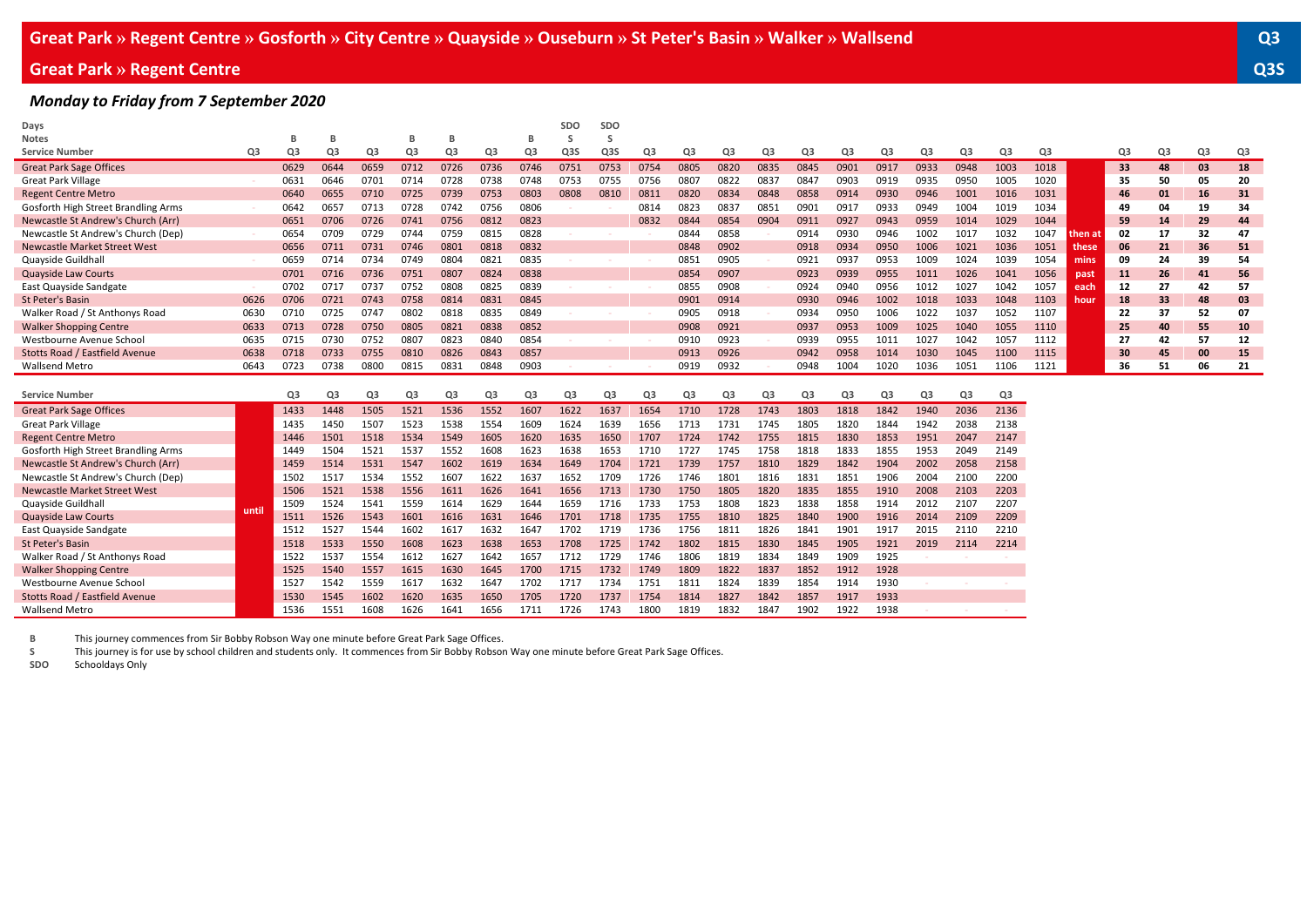## **Great Park » Regent Centre Q3S**

#### *Monday to Friday from 7 September 2020*

| Days                                |       |                |                |      |                |                |                |      | SDO              | SDO              |                |                |                |                |                |                |      |      |      |                |      |         |    |    |    |    |
|-------------------------------------|-------|----------------|----------------|------|----------------|----------------|----------------|------|------------------|------------------|----------------|----------------|----------------|----------------|----------------|----------------|------|------|------|----------------|------|---------|----|----|----|----|
| <b>Notes</b>                        |       | B              | в              |      | B              | B              |                | в    | S                | -S               |                |                |                |                |                |                |      |      |      |                |      |         |    |    |    |    |
| <b>Service Number</b>               | Q3    | Q3             | Q <sub>3</sub> | Q3   | Q3             | Q3             | Q3             | Q3   | Q <sub>3</sub> S | Q <sub>3</sub> S | Q3             | Q3             | Q3             | Q <sub>3</sub> | Q3             | Q3             | Q3   | Q3   | Q3   | Q <sub>3</sub> | Q3   |         | Q3 | Q3 | Q3 | Q3 |
| <b>Great Park Sage Offices</b>      |       | 0629           | 0644           | 0659 | 0712           | 0726           | 0736           | 0746 | 0751             | 0753             | 0754           | 0805           | 0820           | 0835           | 0845           | 0901           | 0917 | 0933 | 0948 | 1003           | 1018 |         | 33 | 48 | 03 | 18 |
| <b>Great Park Village</b>           |       | 0631           | 0646           | 0701 | 0714           | 0728           | 0738           | 0748 | 0753             | 0755             | 0756           | 0807           | 0822           | 0837           | 0847           | 0903           | 0919 | 0935 | 0950 | 1005           | 1020 |         | 35 | 50 | 05 | 20 |
| <b>Regent Centre Metro</b>          |       | 0640           | 0655           | 0710 | 0725           | 0739           | 0753           | 0803 | 0808             | 0810             | 0811           | 0820           | 0834           | 0848           | 0858           | 0914           | 0930 | 0946 | 1001 | 1016           | 1031 |         | 46 | 01 | 16 | 31 |
| Gosforth High Street Brandling Arms |       | 0642           | 0657           | 0713 | 0728           | 0742           | 0756           | 0806 |                  |                  | 0814           | 0823           | 0837           | 0851           | 0901           | 0917           | 0933 | 0949 | 1004 | 1019           | 1034 |         | 49 | 04 | 19 | 34 |
| Newcastle St Andrew's Church (Arr)  |       | 0651           | 0706           | 0726 | 0741           | 0756           | 0812           | 0823 |                  |                  | 0832           | 0844           | 0854           | 0904           | 0911           | 0927           | 0943 | 0959 | 1014 | 1029           | 1044 |         | 59 | 14 | 29 | 44 |
| Newcastle St Andrew's Church (Dep)  |       | 0654           | 0709           | 0729 | 0744           | 0759           | 0815           | 0828 |                  |                  |                | 0844           | 0858           |                | 0914           | 0930           | 0946 | 1002 | 1017 | 1032           | 1047 | then at | 02 | 17 | 32 | 47 |
| Newcastle Market Street West        |       | 0656           | 0711           | 0731 | 0746           | 0801           | 0818           | 0832 |                  |                  |                | 0848           | 0902           |                | 0918           | 0934           | 0950 | 1006 | 1021 | 1036           | 1051 | these   | 06 | 21 | 36 | 51 |
| Quayside Guildhall                  |       | 0659           | 0714           | 0734 | 0749           | 0804           | 0821           | 0835 |                  |                  |                | 0851           | 0905           |                | 0921           | 0937           | 0953 | 1009 | 1024 | 1039           | 1054 | mins    | 09 | 24 | 39 | 54 |
| <b>Quayside Law Courts</b>          |       | 0701           | 0716           | 0736 | 0751           | 0807           | 0824           | 0838 |                  |                  |                | 0854           | 0907           |                | 0923           | 0939           | 0955 | 1011 | 1026 | 1041           | 1056 | past    | 11 | 26 | 41 | 56 |
| East Quayside Sandgate              |       | 0702           | 0717           | 0737 | 0752           | 0808           | 0825           | 0839 |                  |                  |                | 0855           | 0908           |                | 0924           | 0940           | 0956 | 1012 | 1027 | 1042           | 1057 | each    | 12 | 27 | 42 | 57 |
| St Peter's Basin                    | 0626  | 0706           | 0721           | 0743 | 0758           | 0814           | 0831           | 0845 |                  |                  |                | 0901           | 0914           |                | 0930           | 0946           | 1002 | 1018 | 1033 | 1048           | 1103 | hour    | 18 | 33 | 48 | 03 |
| Walker Road / St Anthonys Road      | 0630  | 0710           | 0725           | 0747 | 0802           | 0818           | 0835           | 0849 |                  |                  |                | 0905           | 0918           |                | 0934           | 0950           | 1006 | 1022 | 1037 | 1052           | 1107 |         | 22 | 37 | 52 | 07 |
| <b>Walker Shopping Centre</b>       | 0633  | 0713           | 0728           | 0750 | 0805           | 0821           | 0838           | 0852 |                  |                  |                | 0908           | 0921           |                | 0937           | 0953           | 1009 | 1025 | 1040 | 1055           | 1110 |         | 25 | 40 | 55 | 10 |
| Westbourne Avenue School            | 0635  | 0715           | 0730           | 0752 | 0807           | 0823           | 0840           | 0854 |                  |                  |                | 0910           | 0923           |                | 0939           | 0955           | 1011 | 1027 | 1042 | 1057           | 1112 |         | 27 | 42 | 57 | 12 |
| Stotts Road / Eastfield Avenue      | 0638  | 0718           | 0733           | 0755 | 0810           | 0826           | 0843           | 0857 |                  |                  |                | 0913           | 0926           |                | 0942           | 0958           | 1014 | 1030 | 1045 | 1100           | 1115 |         | 30 | 45 | 00 | 15 |
| <b>Wallsend Metro</b>               | 0643  | 0723           |                |      |                | 0831           | 0848           | 0903 |                  |                  |                | 0919           | 0932           |                | 0948           | 1004           | 1020 | 1036 | 1051 | 1106           | 1121 |         | 36 | 51 | 06 | 21 |
|                                     |       |                | 0738           | 0800 | 0815           |                |                |      |                  |                  |                |                |                |                |                |                |      |      |      |                |      |         |    |    |    |    |
|                                     |       |                |                |      |                |                |                |      |                  |                  |                |                |                |                |                |                |      |      |      |                |      |         |    |    |    |    |
| <b>Service Number</b>               |       | Q <sub>3</sub> | Q <sub>3</sub> | Q3   | Q <sub>3</sub> | Q <sub>3</sub> | Q <sub>3</sub> | Q3   | Q3               | Q <sub>3</sub>   | Q <sub>3</sub> | Q <sub>3</sub> | Q <sub>3</sub> | Q <sub>3</sub> | Q <sub>3</sub> | Q <sub>3</sub> | Q3   | Q3   | Q3   | Q3             |      |         |    |    |    |    |
| <b>Great Park Sage Offices</b>      |       | 1433           | 1448           | 1505 | 1521           | 1536           | 1552           | 1607 | 1622             | 1637             | 1654           | 1710           | 1728           | 1743           | 1803           | 1818           | 1842 | 1940 | 2036 | 2136           |      |         |    |    |    |    |
| <b>Great Park Village</b>           |       | 1435           | 1450           | 1507 | 1523           | 1538           | 1554           | 1609 | 1624             | 1639             | 1656           | 1713           | 1731           | 1745           | 1805           | 1820           | 1844 | 1942 | 2038 | 2138           |      |         |    |    |    |    |
| <b>Regent Centre Metro</b>          |       | 1446           | 1501           | 1518 | 1534           | 1549           | 1605           | 1620 | 1635             | 1650             | 1707           | 1724           | 1742           | 1755           | 1815           | 1830           | 1853 | 1951 | 2047 | 2147           |      |         |    |    |    |    |
| Gosforth High Street Brandling Arms |       | 1449           | 1504           | 1521 | 1537           | 1552           | 1608           | 1623 | 1638             | 1653             | 1710           | 1727           | 1745           | 1758           | 1818           | 1833           | 1855 | 1953 | 2049 | 2149           |      |         |    |    |    |    |
| Newcastle St Andrew's Church (Arr)  |       | 1459           | 1514           | 1531 | 1547           | 1602           | 1619           | 1634 | 1649             | 1704             | 1721           | 1739           | 1757           | 1810           | 1829           | 1842           | 1904 | 2002 | 2058 | 2158           |      |         |    |    |    |    |
| Newcastle St Andrew's Church (Dep)  |       | 1502           | 1517           | 1534 | 1552           | 1607           | 1622           | 1637 | 1652             | 1709             | 1726           | 1746           | 1801           | 1816           | 1831           | 1851           | 1906 | 2004 | 2100 | 2200           |      |         |    |    |    |    |
| Newcastle Market Street West        |       | 1506           | 1521           | 1538 | 1556           | 1611           | 1626           | 1641 | 1656             | 1713             | 1730           | 1750           | 1805           | 1820           | 1835           | 1855           | 1910 | 2008 | 2103 | 2203           |      |         |    |    |    |    |
| Quayside Guildhall                  |       | 1509           | 1524           | 1541 | 1559           | 1614           | 1629           | 1644 | 1659             | 1716             | 1733           | 1753           | 1808           | 1823           | 1838           | 1858           | 1914 | 2012 | 2107 | 2207           |      |         |    |    |    |    |
| <b>Quayside Law Courts</b>          | until | 1511           | 1526           | 1543 | 1601           | 1616           | 1631           | 1646 | 1701             | 1718             | 1735           | 1755           | 1810           | 1825           | 1840           | 1900           | 1916 | 2014 | 2109 | 2209           |      |         |    |    |    |    |
| East Quayside Sandgate              |       | 1512           | 1527           | 1544 | 1602           | 1617           | 1632           | 1647 | 1702             | 1719             | 1736           | 1756           | 1811           | 1826           | 1841           | 1901           | 1917 | 2015 | 2110 | 2210           |      |         |    |    |    |    |
| St Peter's Basin                    |       | 1518           | 1533           | 1550 | 1608           | 1623           | 1638           | 1653 | 1708             | 1725             | 1742           | 1802           | 1815           | 1830           | 1845           | 1905           | 1921 | 2019 | 2114 | 2214           |      |         |    |    |    |    |
| Walker Road / St Anthonys Road      |       | 1522           | 1537           | 1554 | 1612           | 1627           | 1642           | 1657 | 1712             | 1729             | 1746           | 1806           | 1819           | 1834           | 1849           | 1909           | 1925 |      |      |                |      |         |    |    |    |    |
| <b>Walker Shopping Centre</b>       |       | 1525           | 1540           | 1557 | 1615           | 1630           | 1645           | 1700 | 1715             | 1732             | 1749           | 1809           | 1822           | 1837           | 1852           | 1912           | 1928 |      |      |                |      |         |    |    |    |    |
| Westbourne Avenue School            |       | 1527           | 1542           | 1559 | 1617           | 1632           | 1647           | 1702 | 1717             | 1734             | 1751           | 1811           | 1824           | 1839           | 1854           | 1914           | 1930 |      |      |                |      |         |    |    |    |    |
| Stotts Road / Eastfield Avenue      |       | 1530           | 1545           | 1602 | 1620           | 1635           | 1650           | 1705 | 1720             | 1737             | 1754           | 1814           | 1827           | 1842           | 1857           | 1917           | 1933 |      |      |                |      |         |    |    |    |    |

**B** This journey commences from Sir Bobby Robson Way one minute before Great Park Sage Offices. **S** This journey is for use by school children and students only. It commences from Sir Bobby Robson Way one minute before Great Park Sage Offices.

**SDO** Schooldays Only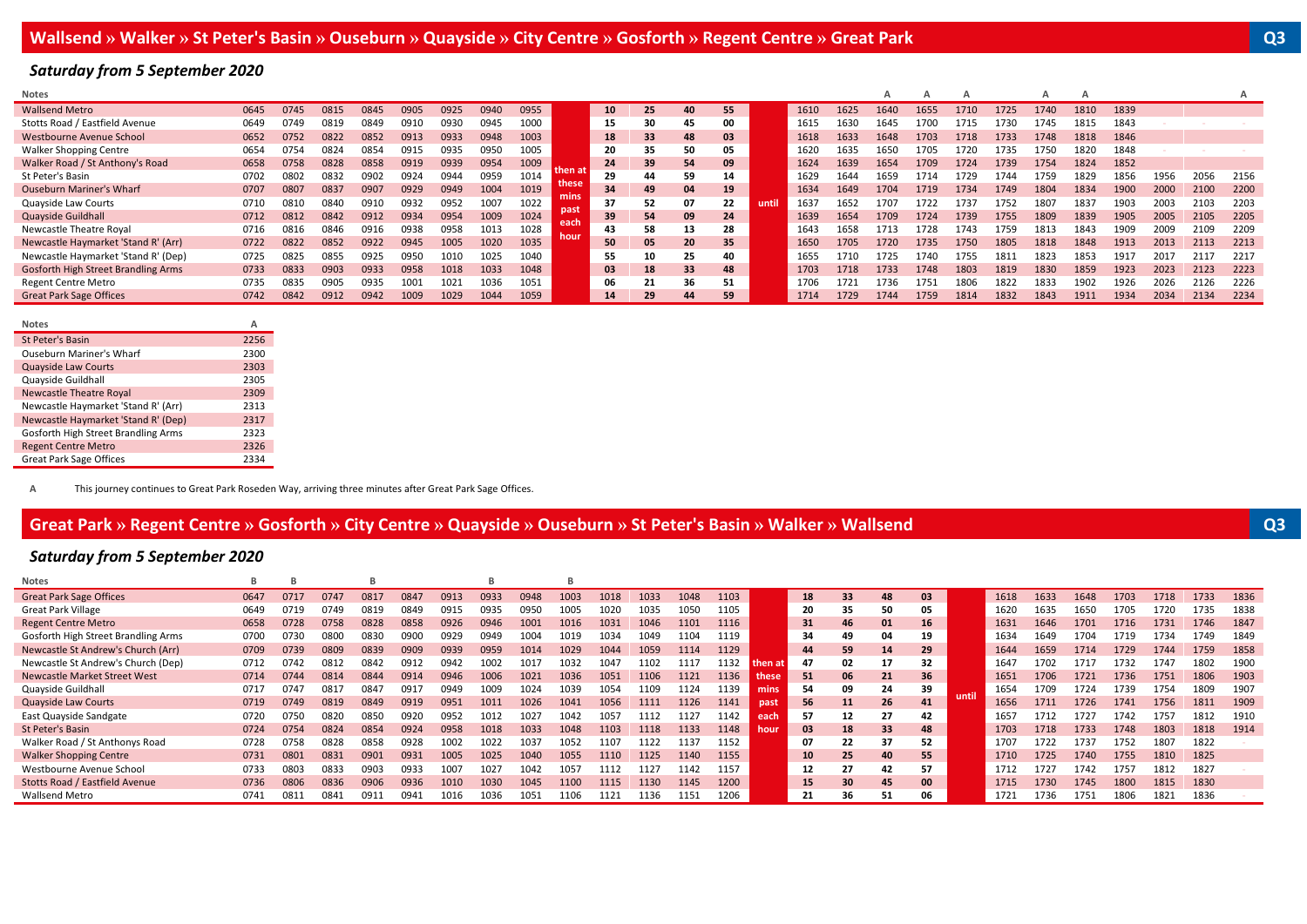## *Saturday from 5 September 2020*

| Notes                               |      |      |      |      |      |      |      |      |              |                 |    |    |    |       |      |      | А    |      |      |      | А    |      |      |      |      | A    |
|-------------------------------------|------|------|------|------|------|------|------|------|--------------|-----------------|----|----|----|-------|------|------|------|------|------|------|------|------|------|------|------|------|
| <b>Wallsend Metro</b>               | 0645 | 0745 | 0815 | 0845 | 0905 | 0925 | 0940 | 0955 |              | 10 <sup>1</sup> | 25 | 40 | 55 |       | 1610 | 1625 | 1640 | 1655 | 1710 | 1725 | 1740 | 1810 | 1839 |      |      |      |
| Stotts Road / Eastfield Avenue      | 0649 | 0749 | 0819 | 0849 | 0910 | 0930 | 0945 | 1000 |              | 15              | 30 | 45 | 00 |       | 1615 | 1630 | 1645 | 1700 | 1715 | 1730 | 1745 | 1815 | 1843 |      |      |      |
| Westbourne Avenue School            | 0652 | 0752 | 0822 | 0852 | 0913 | 0933 | 0948 | 1003 |              | 18              | 33 | 48 | 03 |       | 1618 | 1633 | 1648 | 1703 | 1718 | 1733 | 1748 | 1818 | 1846 |      |      |      |
| <b>Walker Shopping Centre</b>       | 0654 | 0754 | 0824 | 0854 | 0915 | 0935 | 0950 | 1005 |              | 20              | 35 | 50 | 05 |       | 1620 | 1635 | 1650 | 1705 | 1720 | 1735 | 1750 | 1820 | 1848 |      |      |      |
| Walker Road / St Anthony's Road     | 0658 | 0758 | 0828 | 0858 | 0919 | 0939 | 0954 | 1009 | then at      | 24              | 39 | 54 | 09 |       | 1624 | 1639 | 1654 | 1709 | 1724 | 1739 | 1754 | 1824 | 1852 |      |      |      |
| St Peter's Basin                    | 0702 | 0802 | 0832 | 0902 | 0924 | 0944 | 0959 | 1014 | these        | 29              | 44 | 59 | 14 |       | 1629 | 1644 | 1659 | 1714 | 1729 | 1744 | 1759 | 1829 | 1856 | 1956 | 2056 | 2156 |
| <b>Ouseburn Mariner's Wharf</b>     | 0707 | 0807 | 0837 | 0907 | 0929 | 0949 | 1004 | 1019 |              | 34              | 49 | 04 | 19 |       | 1634 | 1649 | 1704 | 1719 | 1734 | 1749 | 1804 | 1834 | 1900 | 2000 | 2100 | 2200 |
| Quayside Law Courts                 | 0710 | 0810 | 0840 | 0910 | 0932 | 0952 | 1007 | 1022 | mins         | 37              | 52 | 07 | 22 | until | 1637 | 1652 | 1707 | 1722 | 1737 | 1752 | 1807 | 1837 | 1903 | 2003 | 2103 | 2203 |
| Quayside Guildhall                  | 0712 | 0812 | 0842 | 0912 | 0934 | 0954 | 1009 | 1024 | past<br>each | 39              | 54 | 09 | 24 |       | 1639 | 1654 | 1709 | 1724 | 1739 | 1755 | 1809 | 1839 | 1905 | 2005 | 2105 | 2205 |
| Newcastle Theatre Royal             | 0716 | 0816 | 0846 | 0916 | 0938 | 0958 | 1013 | 1028 | hour         | 43              | 58 | 13 | 28 |       | 1643 | 1658 | 1713 | 1728 | 1743 | 1759 | 1813 | 1843 | 1909 | 2009 | 2109 | 2209 |
| Newcastle Haymarket 'Stand R' (Arr) | 0722 | 0822 | 0852 | 0922 | 0945 | 1005 | 1020 | 1035 |              | 50              | 05 | 20 | 35 |       | 1650 | 1705 | 1720 | 1735 | 1750 | 1805 | 1818 | 1848 | 1913 | 2013 | 2113 | 2213 |
| Newcastle Haymarket 'Stand R' (Dep) | 0725 | 0825 | 0855 | 0925 | 0950 |      | 1025 | 1040 |              | 55              | 10 | 25 | 40 |       | 1655 | 1710 | 1725 | 1740 | 1755 | 1811 | 1823 | 1853 | 1917 | 2017 | 2117 | 2217 |
| Gosforth High Street Brandling Arms | 0733 | 0833 | 0903 | 0933 | 0958 | 1018 | 1033 | 1048 |              | 03              | 18 | 33 | 48 |       | 1703 | 1718 | 1733 | 1748 | 1803 | 1819 | 1830 | 1859 | 1923 | 2023 | 2123 | 2223 |
| Regent Centre Metro                 | 0735 | 0835 | 0905 | 0935 | 1001 | 1021 | 1036 | 1051 |              | 06              | 21 | 36 | 51 |       | 1706 | 1721 | 1736 | 1751 | 1806 | 1822 | 1833 | 1902 | 1926 | 2026 | 2126 | 2226 |
| <b>Great Park Sage Offices</b>      | 0742 | 0842 | 0912 | 0942 | 1009 | 1029 | 1044 | 1059 |              | 14              | 29 | 44 | 59 |       | 1714 | 1729 | 1744 | 1759 | 1814 | 1832 | 1843 | 1911 | 1934 | 2034 | 2134 | 2234 |
|                                     |      |      |      |      |      |      |      |      |              |                 |    |    |    |       |      |      |      |      |      |      |      |      |      |      |      |      |
| Notes                               | A    |      |      |      |      |      |      |      |              |                 |    |    |    |       |      |      |      |      |      |      |      |      |      |      |      |      |
| St Peter's Basin                    | 2256 |      |      |      |      |      |      |      |              |                 |    |    |    |       |      |      |      |      |      |      |      |      |      |      |      |      |
| Quseburn Mariner's Wharf            | 2300 |      |      |      |      |      |      |      |              |                 |    |    |    |       |      |      |      |      |      |      |      |      |      |      |      |      |

| St Peter's Basin                    | <b>2256</b> |
|-------------------------------------|-------------|
| <b>Ouseburn Mariner's Wharf</b>     | 2300        |
| <b>Quayside Law Courts</b>          | 2303        |
| Quayside Guildhall                  | 2305        |
| <b>Newcastle Theatre Royal</b>      | 2309        |
| Newcastle Haymarket 'Stand R' (Arr) | 2313        |
| Newcastle Haymarket 'Stand R' (Dep) | 2317        |
| Gosforth High Street Brandling Arms | 2323        |
| <b>Regent Centre Metro</b>          | 2326        |
| <b>Great Park Sage Offices</b>      | 2334        |
|                                     |             |

**A** This journey continues to Great Park Roseden Way, arriving three minutes after Great Park Sage Offices.

# Great Park » Regent Centre » Gosforth » City Centre » Quayside » Ouseburn » St Peter's Basin » Walker » Wallsend David David David David David David David David David David David David David David David David David David D

### *Saturday from 5 September 2020*

| <b>Notes</b>                        | в    |      |      |      |      |      |      |      |      |      |      |      |      |         |                 |    |    |     |       |      |      |      |      |      |      |      |
|-------------------------------------|------|------|------|------|------|------|------|------|------|------|------|------|------|---------|-----------------|----|----|-----|-------|------|------|------|------|------|------|------|
| <b>Great Park Sage Offices</b>      | 0647 | 0717 | 0747 | 0817 | 0847 | 0913 | 0933 | 0948 | 1003 | 1018 | 1033 | 1048 | 1103 |         | 18              | 33 | 48 | 03  |       | 1618 | 1633 | 1648 | 1703 | 1718 | 1733 | 1836 |
| <b>Great Park Village</b>           | 0649 | 0719 | 0749 | 0819 | 0849 | 0915 | 0935 | 0950 | 1005 | 1020 | 1035 | 1050 | 1105 |         | 20              | 35 |    | 05  |       | 1620 | 1635 | 1650 | 1705 | 1720 | 1735 | 1838 |
| <b>Regent Centre Metro</b>          | 0658 | 0728 | 0758 | 0828 | 0858 | 0926 | 0946 | 1001 | 1016 | 1031 | 1046 | 1101 | 1116 |         | 31              | 46 | 01 | 16  |       | 1631 | 1646 | 1701 | 1716 | 1731 | 1746 | 1847 |
| Gosforth High Street Brandling Arms | 0700 | 0730 | 0800 | 0830 | 0900 | 0929 | 0949 | 1004 | 1019 | 1034 | 1049 | 104. | 1119 |         | 34              | 49 | 04 | 19  |       | 1634 | 1649 | 1704 | 1719 | 1734 | 1749 | 1849 |
| Newcastle St Andrew's Church (Arr)  | 0709 | 0739 | 0809 | 0839 | 0909 | 0939 | 0959 | 1014 | 1029 | 1044 | 1059 | 1114 | 1129 |         | 44              | 59 | 14 | 29  |       | 1644 | 1659 | 1714 | 1729 | 1744 | 1759 | 1858 |
| Newcastle St Andrew's Church (Dep)  | 0712 | 074  | 0812 | 0842 | 0912 | 0942 | 1002 | 1017 | 1032 | 04   | 1102 | 11.  | 1132 | then at | 47              | 02 | 17 | 32  |       | 1647 | 1702 | 1717 | 1732 | 1747 | 1802 | 1900 |
| Newcastle Market Street West        | 0714 | 0744 | 0814 | 0844 | 0914 | 0946 | 1006 | 1021 | 1036 | 1051 | 1106 | 1121 | 1136 | these   | 51              | 06 | 21 | 36  |       | 1651 | 1706 | 1721 | 1736 | 1751 | 1806 | 1903 |
| Quayside Guildhall                  | 0717 | 074  | 0817 | 0847 | 0917 | 0949 | 1009 | 1024 | 1039 | LO54 | 1109 | 124  | 1139 | mins    | 54              | 09 | 24 | 39  |       | 1654 | 1709 | 1724 | 1739 | 1754 | 1809 | 1907 |
| Quayside Law Courts                 | 0719 | 0749 | 0819 | 0849 | 0919 | 0951 | 1011 | 1026 | 1041 | 1056 | 1111 | 1126 | 1141 | past    | 56              | 11 | 26 | 41  | until | 1656 | 1711 | 1726 | 1741 | 1756 | 1811 | 1909 |
| East Quayside Sandgate              | 0720 | 0750 | 0820 | 0850 | 0920 | 0952 | 101. | 1027 | 1042 | 057  | 1112 | 127  | 1142 | each    | 57              | 12 |    | 42  |       | 1657 | 1712 | 1727 | 1742 | 1757 | 1812 | 1910 |
| St Peter's Basin                    | 0724 | 0754 | 0824 | 0854 | 0924 | 0958 | 1018 | 1033 | 1048 | 1103 | 1118 | 1133 | 1148 | hour    | 03              | 18 | 33 | 48  |       | 1703 | 1718 | 1733 | 1748 | 1803 | 1818 | 1914 |
| Walker Road / St Anthonys Road      | 0728 | 0758 | 0828 | 0858 | 0928 | 1002 | 1022 | 1037 | 1052 | 107  | 1122 | 137  | 1152 |         | 07              | 22 | 37 | 52  |       | 1707 | 1722 | 1737 | 1752 | 1807 | 1822 |      |
| <b>Walker Shopping Centre</b>       | 0731 | 0801 | 0831 | 0901 | 0931 | 1005 | 1025 | 1040 | 1055 | 1110 | 1125 | 1140 | 1155 |         | 10 <sup>1</sup> | 25 | 40 | 55  |       | 1710 | 1725 | 1740 | 1755 | 1810 | 1825 |      |
| Westbourne Avenue School            | 0733 | 0803 | 0833 | 0903 | 0933 | LOO. | 1021 | 1042 | 1057 | 112  | 1127 | 142  | 1157 |         | 12              | 27 | 42 | 57  |       | 1712 | 1727 | 1742 | 1757 | 1812 | 1827 |      |
| Stotts Road / Eastfield Avenue      | 0736 | 0806 | 0836 | 0906 | 0936 | 1010 | 1030 | 1045 | 1100 | 1115 | 1130 | 1145 | 1200 |         | 15              | 30 | 45 | -00 |       | 1715 | 1730 | 1745 | 1800 | 1815 | 1830 |      |
| Wallsend Metro                      | 0741 | 081  | 0841 | 0911 | 0941 | 1016 | 1036 | 1051 | 1106 | 1121 | 1136 | 151  | 1206 |         | 21              | 36 |    | 06  |       | 1721 | 1736 | 1751 | 1806 | 1821 | 1836 |      |